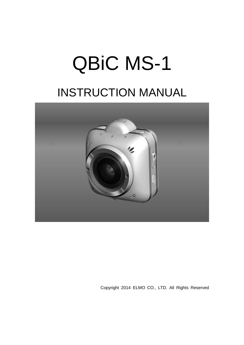# QBiC MS-1 INSTRUCTION MANUAL



Copyright 2014 ELMO CO., LTD. All Rights Reserved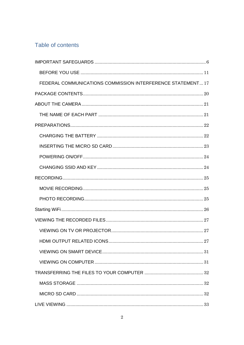## Table of contents

| FEDERAL COMMUNICATIONS COMMISSION INTERFERENCE STATEMENT 17 |    |
|-------------------------------------------------------------|----|
|                                                             |    |
|                                                             |    |
|                                                             |    |
|                                                             |    |
|                                                             |    |
|                                                             |    |
|                                                             |    |
|                                                             |    |
|                                                             |    |
|                                                             |    |
|                                                             |    |
|                                                             |    |
|                                                             |    |
|                                                             |    |
| HDMI OUTPUT RELATED ICONS.                                  | 27 |
|                                                             |    |
|                                                             |    |
|                                                             |    |
|                                                             |    |
|                                                             |    |
|                                                             |    |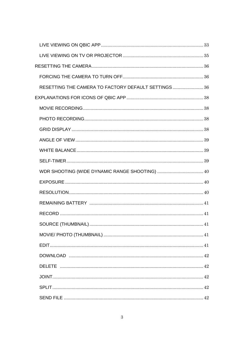| RESETTING THE CAMERA TO FACTORY DEFAULT SETTINGS 36 |  |
|-----------------------------------------------------|--|
|                                                     |  |
|                                                     |  |
|                                                     |  |
|                                                     |  |
|                                                     |  |
|                                                     |  |
|                                                     |  |
|                                                     |  |
|                                                     |  |
|                                                     |  |
|                                                     |  |
|                                                     |  |
|                                                     |  |
|                                                     |  |
|                                                     |  |
|                                                     |  |
|                                                     |  |
|                                                     |  |
|                                                     |  |
|                                                     |  |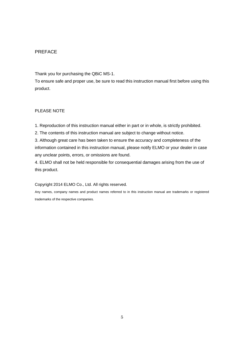#### PREFACE

Thank you for purchasing the QBiC MS-1.

To ensure safe and proper use, be sure to read this instruction manual first before using this product.

#### PLEASE NOTE

1. Reproduction of this instruction manual either in part or in whole, is strictly prohibited.

2. The contents of this instruction manual are subject to change without notice.

3. Although great care has been taken to ensure the accuracy and completeness of the information contained in this instruction manual, please notify ELMO or your dealer in case any unclear points, errors, or omissions are found.

4. ELMO shall not be held responsible for consequential damages arising from the use of this product.

#### Copyright 2014 ELMO Co., Ltd. All rights reserved.

Any names, company names and product names referred to in this instruction manual are trademarks or registered trademarks of the respective companies.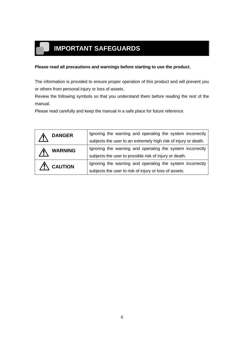# <span id="page-5-0"></span>**IMPORTANT SAFEGUARDS**

#### **Please read all precautions and warnings before starting to use the product.**

The information is provided to ensure proper operation of this product and will prevent you or others from personal injury or loss of assets.

Review the following symbols so that you understand them before reading the rest of the manual.

Please read carefully and keep the manual in a safe place for future reference.

| <b>DANGER</b>       | Ignoring the warning and operating the system incorrectly       |
|---------------------|-----------------------------------------------------------------|
|                     | subjects the user to an extremely high risk of injury or death. |
| <b>WARNING</b>      | Ignoring the warning and operating the system incorrectly       |
|                     | subjects the user to possible risk of injury or death.          |
| $\bigwedge$ CAUTION | Ignoring the warning and operating the system incorrectly       |
|                     | subjects the user to risk of injury or loss of assets.          |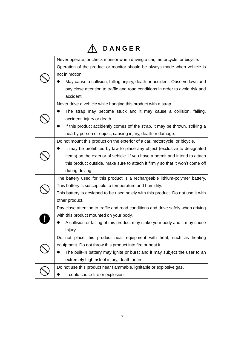| DANGER                                                                                                                                                                                                                                                                                                                                                  |
|---------------------------------------------------------------------------------------------------------------------------------------------------------------------------------------------------------------------------------------------------------------------------------------------------------------------------------------------------------|
| Never operate, or check monitor when driving a car, motorcycle, or bicycle.<br>Operation of the product or monitor should be always made when vehicle is<br>not in motion.<br>May cause a collision, falling, injury, death or accident. Observe laws and<br>pay close attention to traffic and road conditions in order to avoid risk and<br>accident. |
| Never drive a vehicle while hanging this product with a strap.<br>The strap may become stuck and it may cause a collision, falling,<br>accident, injury or death.<br>If this product accidently comes off the strap, it may be thrown, striking a<br>nearby person or object, causing injury, death or damage.                                          |
| Do not mount this product on the exterior of a car, motorcycle, or bicycle.<br>It may be prohibited by law to place any object (exclusive to designated<br>items) on the exterior of vehicle. If you have a permit and intend to attach<br>this product outside, make sure to attach it firmly so that it won't come off<br>during driving.             |
| The battery used for this product is a rechargeable lithium-polymer battery.<br>This battery is susceptible to temperature and humidity.<br>This battery is designed to be used solely with this product. Do not use it with<br>other product.                                                                                                          |
| Pay close attention to traffic and road conditions and drive safely when driving<br>with this product mounted on your body.<br>• A collision or falling of this product may strike your body and it may cause<br>injury.                                                                                                                                |
| Do not place this product near equipment with heat, such as heating<br>equipment. Do not throw this product into fire or heat it.<br>The built-in battery may ignite or burst and it may subject the user to an<br>extremely high risk of injury, death or fire.                                                                                        |
| Do not use this product near flammable, ignitable or explosive gas.<br>It could cause fire or explosion.                                                                                                                                                                                                                                                |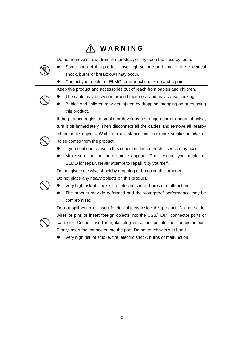|                                                                        | WARNING                                                                         |  |  |
|------------------------------------------------------------------------|---------------------------------------------------------------------------------|--|--|
| Do not remove screws from this product, or pry open the case by force. |                                                                                 |  |  |
|                                                                        | Some parts of this product have high-voltage and smoke, fire, electrical        |  |  |
|                                                                        | shock, burns or breakdown may occur.                                            |  |  |
|                                                                        | Contact your dealer or ELMO for product check-up and repair.                    |  |  |
|                                                                        | Keep this product and accessories out of reach from babies and children.        |  |  |
|                                                                        | The cable may be wound around their neck and may cause choking.                 |  |  |
|                                                                        | Babies and children may get injured by dropping, stepping on or crushing        |  |  |
|                                                                        | this product.                                                                   |  |  |
|                                                                        | If the product begins to smoke or develops a strange odor or abnormal noise,    |  |  |
|                                                                        | turn it off immediately. Then disconnect all the cables and remove all nearby   |  |  |
|                                                                        | inflammable objects. Wait from a distance until no more smoke or odor or        |  |  |
| noise comes from the product.                                          |                                                                                 |  |  |
|                                                                        | If you continue to use in this condition, fire or electric shock may occur.     |  |  |
|                                                                        | Make sure that no more smoke appears. Then contact your dealer or               |  |  |
|                                                                        | ELMO for repair. Never attempt to repair it by yourself.                        |  |  |
| Do not give excessive shock by dropping or bumping this product.       |                                                                                 |  |  |
|                                                                        | Do not place any heavy objects on this product.                                 |  |  |
|                                                                        | Very high risk of smoke, fire, electric shock, burns or malfunction.            |  |  |
|                                                                        | The product may de deformed and the waterproof performance may be               |  |  |
|                                                                        | compromised.                                                                    |  |  |
|                                                                        | Do not spill water or insert foreign objects inside this product. Do not solder |  |  |
|                                                                        | wires or pins or insert foreign objects into the USB/HDMI connector ports or    |  |  |
|                                                                        | card slot. Do not insert irregular plug or connector into the connector port.   |  |  |
|                                                                        | Firmly insert the connector into the port. Do not touch with wet hand.          |  |  |
|                                                                        | Very high risk of smoke, fire, electric shock, burns or malfunction.            |  |  |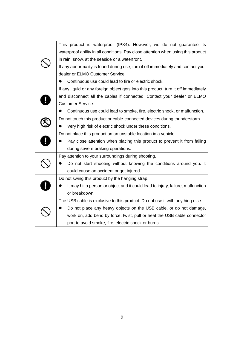|  | This product is waterproof (IPX4). However, we do not guarantee its                 |
|--|-------------------------------------------------------------------------------------|
|  | waterproof ability in all conditions. Pay close attention when using this product   |
|  | in rain, snow, at the seaside or a waterfront.                                      |
|  | If any abnormality is found during use, turn it off immediately and contact your    |
|  | dealer or ELMO Customer Service.                                                    |
|  | Continuous use could lead to fire or electric shock.                                |
|  | If any liquid or any foreign object gets into this product, turn it off immediately |
|  | and disconnect all the cables if connected. Contact your dealer or ELMO             |
|  | <b>Customer Service.</b>                                                            |
|  | Continuous use could lead to smoke, fire, electric shock, or malfunction.           |
|  | Do not touch this product or cable-connected devices during thunderstorm.           |
|  | Very high risk of electric shock under these conditions.                            |
|  | Do not place this product on an unstable location in a vehicle.                     |
|  | Pay close attention when placing this product to prevent it from falling            |
|  | during severe braking operations.                                                   |
|  | Pay attention to your surroundings during shooting.                                 |
|  | Do not start shooting without knowing the conditions around you. It                 |
|  | could cause an accident or get injured.                                             |
|  | Do not swing this product by the hanging strap.                                     |
|  | It may hit a person or object and it could lead to injury, failure, malfunction     |
|  | or breakdown.                                                                       |
|  | The USB cable is exclusive to this product. Do not use it with anything else.       |
|  | Do not place any heavy objects on the USB cable, or do not damage,                  |
|  | work on, add bend by force, twist, pull or heat the USB cable connector             |
|  | port to avoid smoke, fire, electric shock or burns.                                 |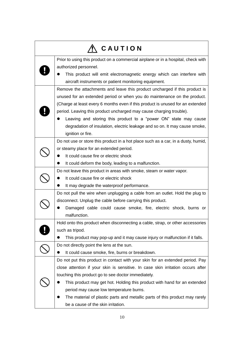|                                                                               | CAUTION                                                                           |  |  |
|-------------------------------------------------------------------------------|-----------------------------------------------------------------------------------|--|--|
|                                                                               | Prior to using this product on a commercial airplane or in a hospital, check with |  |  |
|                                                                               | authorized personnel.                                                             |  |  |
|                                                                               | This product will emit electromagnetic energy which can interfere with            |  |  |
|                                                                               | aircraft instruments or patient monitoring equipment.                             |  |  |
|                                                                               | Remove the attachments and leave this product uncharged if this product is        |  |  |
|                                                                               | unused for an extended period or when you do maintenance on the product.          |  |  |
|                                                                               | (Charge at least every 6 months even if this product is unused for an extended    |  |  |
|                                                                               | period. Leaving this product uncharged may cause charging trouble).               |  |  |
|                                                                               | Leaving and storing this product to a "power ON" state may cause                  |  |  |
|                                                                               | degradation of insulation, electric leakage and so on. It may cause smoke,        |  |  |
|                                                                               | ignition or fire.                                                                 |  |  |
|                                                                               | Do not use or store this product in a hot place such as a car, in a dusty, humid, |  |  |
|                                                                               | or steamy place for an extended period.                                           |  |  |
|                                                                               | It could cause fire or electric shock                                             |  |  |
| It could deform the body, leading to a malfunction.                           |                                                                                   |  |  |
|                                                                               | Do not leave this product in areas with smoke, steam or water vapor.              |  |  |
|                                                                               | It could cause fire or electric shock                                             |  |  |
|                                                                               | It may degrade the waterproof performance.                                        |  |  |
|                                                                               | Do not pull the wire when unplugging a cable from an outlet. Hold the plug to     |  |  |
|                                                                               | disconnect. Unplug the cable before carrying this product.                        |  |  |
|                                                                               | Damaged cable could cause smoke, fire, electric shock, burns or                   |  |  |
|                                                                               | malfunction.                                                                      |  |  |
|                                                                               | Hold onto this product when disconnecting a cable, strap, or other accessories    |  |  |
|                                                                               | such as tripod.                                                                   |  |  |
|                                                                               | This product may pop-up and it may cause injury or malfunction if it falls.       |  |  |
|                                                                               | Do not directly point the lens at the sun.                                        |  |  |
|                                                                               | It could cause smoke, fire, burns or breakdown.                                   |  |  |
| Do not put this product in contact with your skin for an extended period. Pay |                                                                                   |  |  |
|                                                                               | close attention if your skin is sensitive. In case skin irritation occurs after   |  |  |
|                                                                               | touching this product go to see doctor immediately.                               |  |  |
|                                                                               | This product may get hot. Holding this product with hand for an extended          |  |  |
|                                                                               | period may cause low temperature burns.                                           |  |  |
|                                                                               | The material of plastic parts and metallic parts of this product may rarely       |  |  |
|                                                                               | be a cause of the skin irritation.                                                |  |  |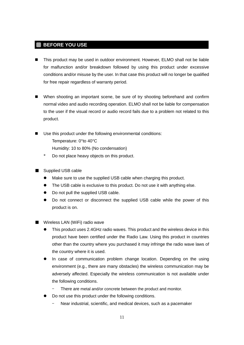#### <span id="page-10-0"></span>**BEFORE YOU USE**

- This product may be used in outdoor environment. However, ELMO shall not be liable for malfunction and/or breakdown followed by using this product under excessive conditions and/or misuse by the user. In that case this product will no longer be qualified for free repair regardless of warranty period.
- When shooting an important scene, be sure of try shooting beforehand and confirm normal video and audio recording operation. ELMO shall not be liable for compensation to the user if the visual record or audio record fails due to a problem not related to this product.
- Use this product under the following environmental conditions:
	- Temperature: 0°to 40°C
	- Humidity: 10 to 80% (No condensation)
	- \* Do not place heavy objects on this product.
- Supplied USB cable
	- Make sure to use the supplied USB cable when charging this product.
	- The USB cable is exclusive to this product. Do not use it with anything else.
	- Do not pull the supplied USB cable.
	- Do not connect or disconnect the supplied USB cable while the power of this product is on.
- Wireless LAN (WiFi) radio wave
	- This product uses 2.4GHz radio waves. This product and the wireless device in this product have been certified under the Radio Law. Using this product in countries other than the country where you purchased it may infringe the radio wave laws of the country where it is used.
	- In case of communication problem change location. Depending on the using environment (e.g., there are many obstacles) the wireless communication may be adversely affected. Especially the wireless communication is not available under the following conditions.
		- There are metal and/or concrete between the product and monitor.
	- Do not use this product under the following conditions.
		- ‒ Near industrial, scientific, and medical devices, such as a pacemaker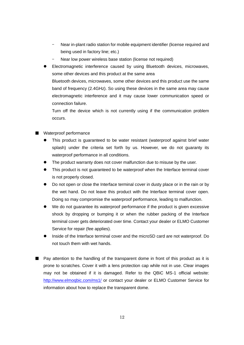- ‒ Near in-plant radio station for mobile equipment identifier (license required and being used in factory line; etc.)
- Near low power wireless base station (license not required)
- Electromagnetic interference caused by using Bluetooth devices, microwaves, some other devices and this product at the same area Bluetooth devices, microwaves, some other devices and this product use the same band of frequency (2.4GHz). So using these devices in the same area may cause electromagnetic interference and it may cause lower communication speed or connection failure.

Turn off the device which is not currently using if the communication problem occurs.

- Waterproof performance
	- This product is guaranteed to be water resistant (waterproof against brief water splash) under the criteria set forth by us. However, we do not guaranty its waterproof performance in all conditions.
	- The product warranty does not cover malfunction due to misuse by the user.
	- This product is not guaranteed to be waterproof when the Interface terminal cover is not properly closed.
	- Do not open or close the Interface terminal cover in dusty place or in the rain or by the wet hand. Do not leave this product with the Interface terminal cover open. Doing so may compromise the waterproof performance, leading to malfunction.
	- We do not guarantee its waterproof performance if the product is given excessive shock by dropping or bumping it or when the rubber packing of the Interface terminal cover gets deteriorated over time. Contact your dealer or ELMO Customer Service for repair (fee applies).
	- Inside of the Interface terminal cover and the microSD card are not waterproof. Do not touch them with wet hands.
- Pay attention to the handling of the transparent dome in front of this product as it is prone to scratches. Cover it with a lens protection cap while not in use. Clear images may not be obtained if it is damaged. Refer to the QBiC MS-1 official website: <http://www.elmoqbic.com/ms1/> or contact your dealer or ELMO Customer Service for information about how to replace the transparent dome.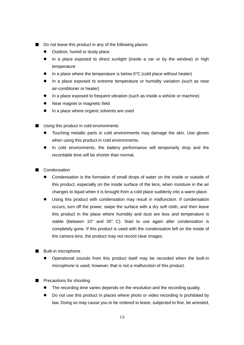- Do not leave this product in any of the following places:
	- **D** Outdoor, humid or dusty place
	- In a place exposed to direct sunlight (inside a car or by the window) or high temperature
	- $\bullet$  In a place where the temperature is below 0°C (cold place without heater)
	- In a place exposed to extreme temperature or humidity variation (such as near air-conditioner or heater)
	- In a place exposed to frequent vibration (such as inside a vehicle or machine)
	- Near magnet or magnetic field
	- In a place where organic solvents are used
- Using this product in cold environments
	- Touching metallic parts in cold environments may damage the skin. Use gloves when using this product in cold environments.
	- In cold environments, the battery performance will temporarily drop and the recordable time will be shorter than normal.
- Condensation
	- Condensation is the formation of small drops of water on the inside or outside of this product, especially on the inside surface of the lens, when moisture in the air changes to liquid when it is brought from a cold place suddenly into a warm place.
	- Using this product with condensation may result in malfunction. If condensation occurs, turn off the power, swipe the surface with a dry soft cloth, and then leave this product in the place where humidity and dust are less and temperature is stable (between 10° and 30° C). Start to use again after condensation is completely gone. If this product is used with the condensation left on the inside of the camera lens, the product may not record clear images.
- Built-in microphone
	- Operational sounds from this product itself may be recorded when the built-in microphone is used; however, that is not a malfunction of this product.
- Precautions for shooting
	- The recording time varies depends on the resolution and the recording quality.
	- Do not use this product in places where photo or video recording is prohibited by law. Doing so may cause you to be ordered to leave, subjected to fine, be arrested,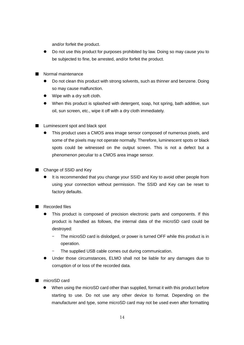and/or forfeit the product.

- Do not use this product for purposes prohibited by law. Doing so may cause you to be subjected to fine, be arrested, and/or forfeit the product.
- Normal maintenance
	- Do not clean this product with strong solvents, such as thinner and benzene. Doing so may cause malfunction.
	- Wipe with a dry soft cloth.
	- When this product is splashed with detergent, soap, hot spring, bath additive, sun oil, sun screen, etc., wipe it off with a dry cloth immediately.
- Luminescent spot and black spot
	- This product uses a CMOS area image sensor composed of numerous pixels, and some of the pixels may not operate normally. Therefore, luminescent spots or black spots could be witnessed on the output screen. This is not a defect but a phenomenon peculiar to a CMOS area image sensor.
- Change of SSID and Key
	- It is recommended that you change your SSID and Key to avoid other people from using your connection without permission. The SSID and Key can be reset to factory defaults.
- Recorded files
	- This product is composed of precision electronic parts and components. If this product is handled as follows, the internal data of the microSD card could be destroyed:
		- The microSD card is dislodged, or power is turned OFF while this product is in operation.
		- The supplied USB cable comes out during communication.
	- Under those circumstances, ELMO shall not be liable for any damages due to corruption of or loss of the recorded data.
- microSD card
	- When using the microSD card other than supplied, format it with this product before starting to use. Do not use any other device to format. Depending on the manufacturer and type, some microSD card may not be used even after formatting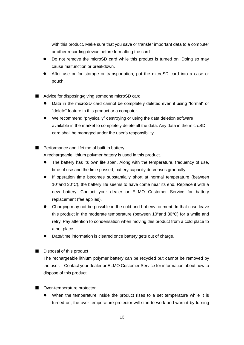with this product. Make sure that you save or transfer important data to a computer or other recording device before formatting the card

- Do not remove the microSD card while this product is turned on. Doing so may cause malfunction or breakdown.
- After use or for storage or transportation, put the microSD card into a case or pouch.
- Advice for disposing/giving someone microSD card
	- Data in the microSD card cannot be completely deleted even if using "format" or "delete" feature in this product or a computer.
	- We recommend "physically" destroying or using the data deletion software available in the market to completely delete all the data. Any data in the microSD card shall be managed under the user's responsibility.
- Performance and lifetime of built-in battery

A rechargeable lithium polymer battery is used in this product.

- The battery has its own life span. Along with the temperature, frequency of use, time of use and the time passed, battery capacity decreases gradually.
- If operation time becomes substantially short at normal temperature (between 10°and 30°C), the battery life seems to have come near its end. Replace it with a new battery. Contact your dealer or ELMO Customer Service for battery replacement (fee applies).
- Charging may not be possible in the cold and hot environment. In that case leave this product in the moderate temperature (between 10°and 30°C) for a while and retry. Pay attention to condensation when moving this product from a cold place to a hot place.
- Date/time information is cleared once battery gets out of charge.
- Disposal of this product

The rechargeable lithium polymer battery can be recycled but cannot be removed by the user. Contact your dealer or ELMO Customer Service for information about how to dispose of this product.

#### ■ Over-temperature protector

 When the temperature inside the product rises to a set temperature while it is turned on, the over-temperature protector will start to work and warn it by turning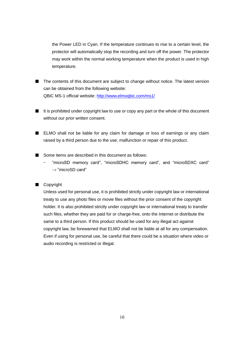the Power LED in Cyan. If the temperature continues to rise to a certain level, the protector will automatically stop the recording and turn off the power. The protector may work within the normal working temperature when the product is used in high temperature.

- The contents of this document are subject to change without notice. The latest version can be obtained from the following website: QBiC MS-1 official website:<http://www.elmoqbic.com/ms1/>
- It is prohibited under copyright law to use or copy any part or the whole of this document without our prior written consent.
- ELMO shall not be liable for any claim for damage or loss of earnings or any claim raised by a third person due to the use, malfunction or repair of this product.
- Some items are described in this document as follows:
	- ‒ "microSD memory card", "microSDHC memory card", and "microSDXC card"  $\rightarrow$  "microSD card"

#### ■ Copyright

Unless used for personal use, it is prohibited strictly under copyright law or international treaty to use any photo files or movie files without the prior consent of the copyright holder. It is also prohibited strictly under copyright law or international treaty to transfer such files, whether they are paid for or charge-free, onto the Internet or distribute the same to a third person. If this product should be used for any illegal act against copyright law, be forewarned that ELMO shall not be liable at all for any compensation. Even if using for personal use, be careful that there could be a situation where video or audio recording is restricted or illegal.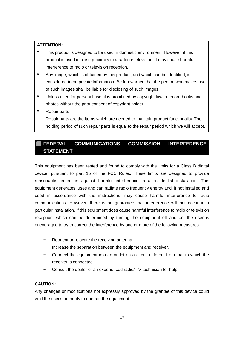#### **ATTENTION:**

- This product is designed to be used in domestic environment. However, if this product is used in close proximity to a radio or television, it may cause harmful interference to radio or television reception.
- \* Any image, which is obtained by this product, and which can be identified, is considered to be private information. Be forewarned that the person who makes use of such images shall be liable for disclosing of such images.
- \* Unless used for personal use, it is prohibited by copyright law to record books and photos without the prior consent of copyright holder.
- \* Repair parts

Repair parts are the items which are needed to maintain product functionality. The holding period of such repair parts is equal to the repair period which we will accept.

#### <span id="page-16-0"></span>**FEDERAL COMMUNICATIONS COMMISSION INTERFERENCE STATEMENT**

This equipment has been tested and found to comply with the limits for a Class B digital device, pursuant to part 15 of the FCC Rules. These limits are designed to provide reasonable protection against harmful interference in a residential installation. This equipment generates, uses and can radiate radio frequency energy and, if not installed and used in accordance with the instructions, may cause harmful interference to radio communications. However, there is no guarantee that interference will not occur in a particular installation. If this equipment does cause harmful interference to radio or television reception, which can be determined by turning the equipment off and on, the user is encouraged to try to correct the interference by one or more of the following measures:

- ‒ Reorient or relocate the receiving antenna.
- ‒ Increase the separation between the equipment and receiver.
- ‒ Connect the equipment into an outlet on a circuit different from that to which the receiver is connected.
- ‒ Consult the dealer or an experienced radio/ TV technician for help.

#### **CAUTION:**

Any changes or modifications not expressly approved by the grantee of this device could void the user's authority to operate the equipment.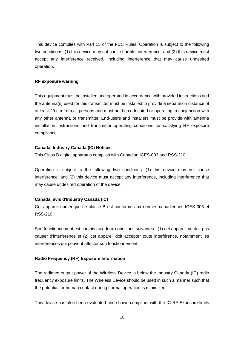This device complies with Part 15 of the FCC Rules. Operation is subject to the following two conditions: (1) this device may not cause harmful interference, and (2) this device must accept any interference received, including interference that may cause undesired operation.

#### **RF exposure warning**

This equipment must be installed and operated in accordance with provided instructions and the antenna(s) used for this transmitter must be installed to provide a separation distance of at least 20 cm from all persons and must not be co-located or operating in conjunction with any other antenna or transmitter. End-users and installers must be provide with antenna installation instructions and transmitter operating conditions for satisfying RF exposure compliance.

#### **Canada, Industry Canada (IC) Notices**

This Class B digital apparatus complies with Canadian ICES-003 and RSS-210.

Operation is subject to the following two conditions: (1) this device may not cause interference, and (2) this device must accept any interference, including interference that may cause undesired operation of the device.

#### **Canada, avis d'Industry Canada (IC)**

Cet appareil numérique de classe B est conforme aux normes canadiennes ICES-003 et RSS-210.

Son fonctionnement est soumis aux deux conditions suivantes : (1) cet appareil ne doit pas causer d'interférence et (2) cet appareil doit accepter toute interférence, notamment les interférences qui peuvent affecter son fonctionnement.

#### **Radio Frequency (RF) Exposure Information**

The radiated output power of the Wireless Device is below the Industry Canada (IC) radio frequency exposure limits. The Wireless Device should be used in such a manner such that the potential for human contact during normal operation is minimized.

This device has also been evaluated and shown compliant with the IC RF Exposure limits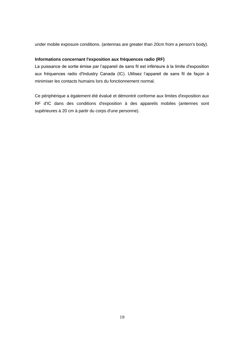under mobile exposure conditions. (antennas are greater than 20cm from a person's body).

#### **Informations concernant l'exposition aux fréquences radio (RF)**

La puissance de sortie émise par l'appareil de sans fil est inférieure à la limite d'exposition aux fréquences radio d'Industry Canada (IC). Utilisez l'appareil de sans fil de façon à minimiser les contacts humains lors du fonctionnement normal.

Ce périphérique a également été évalué et démontré conforme aux limites d'exposition aux RF d'IC dans des conditions d'exposition à des appareils mobiles (antennes sont supérieures à 20 cm à partir du corps d'une personne).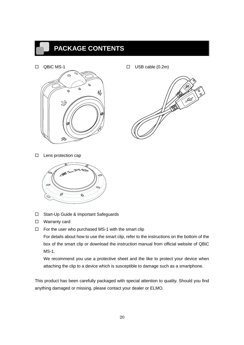## <span id="page-19-0"></span>**PACKAGE CONTENTS**



QBiC MS-1 USB cable (0.2m)



 $\square$  Lens protection cap



- □ Start-Up Guide & Important Safeguards
- □ Warranty card
- $\Box$  For the user who purchased MS-1 with the smart clip

For details about how to use the smart clip, refer to the instructions on the bottom of the box of the smart clip or download the instruction manual from official website of QBiC MS-1.

We recommend you use a protective sheet and the like to protect your device when attaching the clip to a device which is susceptible to damage such as a smartphone.

This product has been carefully packaged with special attention to quality. Should you find anything damaged or missing, please contact your dealer or ELMO.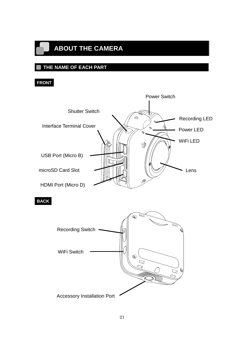## <span id="page-20-0"></span>**ABOUT THE CAMERA**

### <span id="page-20-1"></span>**THE NAME OF EACH PART**

#### **FRONT**

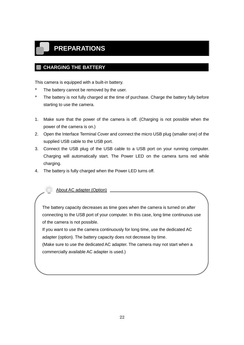## <span id="page-21-0"></span>**PREPARATIONS**

#### <span id="page-21-1"></span>**CHARGING THE BATTERY**

This camera is equipped with a built-in battery.

- \* The battery cannot be removed by the user.
- \* The battery is not fully charged at the time of purchase. Charge the battery fully before starting to use the camera.
- 1. Make sure that the power of the camera is off. (Charging is not possible when the power of the camera is on.)
- 2. Open the Interface Terminal Cover and connect the micro USB plug (smaller one) of the supplied USB cable to the USB port.
- 3. Connect the USB plug of the USB cable to a USB port on your running computer. Charging will automatically start. The Power LED on the camera turns red while charging.
- 4. The battery is fully charged when the Power LED turns off.

About AC adapter (Option)

The battery capacity decreases as time goes when the camera is turned on after connecting to the USB port of your computer. In this case, long time continuous use of the camera is not possible.

If you want to use the camera continuously for long time, use the dedicated AC adapter (option). The battery capacity does not decrease by time.

(Make sure to use the dedicated AC adapter. The camera may not start when a commercially available AC adapter is used.)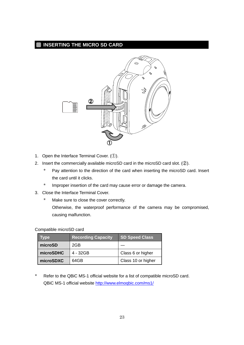#### <span id="page-22-0"></span>**INSERTING THE MICRO SD CARD**



- 1. Open the Interface Terminal Cover. (①).
- 2. Insert the commercially available microSD card in the microSD card slot. (②).
	- \* Pay attention to the direction of the card when inserting the microSD card. Insert the card until it clicks.
	- \* Improper insertion of the card may cause error or damage the camera.
- 3. Close the Interface Terminal Cover.
	- \* Make sure to close the cover correctly.

Otherwise, the waterproof performance of the camera may be compromised, causing malfunction.

|  | Compatible microSD card |
|--|-------------------------|
|--|-------------------------|

| Type      | <b>Recording Capacity</b> | <b>SD Speed Class</b> |
|-----------|---------------------------|-----------------------|
| microSD   | 2GB                       |                       |
| microSDHC | $4 - 32GB$                | Class 6 or higher     |
| microSDXC | 64GB                      | Class 10 or higher    |

\* Refer to the QBiC MS-1 official website for a list of compatible microSD card. QBiC MS-1 official website<http://www.elmoqbic.com/ms1/>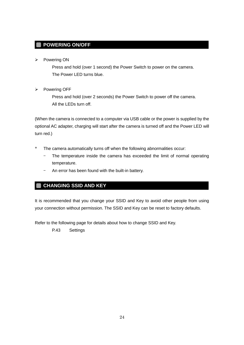#### <span id="page-23-0"></span>**POWERING ON/OFF**

 $\triangleright$  Powering ON

Press and hold (over 1 second) the Power Switch to power on the camera. The Power LED turns blue.

 $\triangleright$  Powering OFF

Press and hold (over 2 seconds) the Power Switch to power off the camera. All the LEDs turn off.

(When the camera is connected to a computer via USB cable or the power is supplied by the optional AC adapter, charging will start after the camera is turned off and the Power LED will turn red.)

- \* The camera automatically turns off when the following abnormalities occur:
	- The temperature inside the camera has exceeded the limit of normal operating temperature.
	- An error has been found with the built-in battery.

#### <span id="page-23-1"></span>**CHANGING SSID AND KEY**

It is recommended that you change your SSID and Key to avoid other people from using your connection without permission. The SSID and Key can be reset to factory defaults.

Refer to the following page for details about how to change SSID and Key.

[P.43](#page-42-0) [Settings](#page-42-0)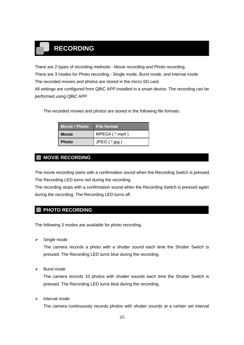## <span id="page-24-0"></span>**RECORDING**

There are 2 types of recording methods - Movie recording and Photo recording.

There are 3 modes for Photo recording - Single mode, Burst mode, and Interval mode.

The recorded movies and photos are stored in the micro SD card.

All settings are configured from QBiC APP installed in a smart device. The recording can be performed using QBiC APP.

The recorded movies and photos are stored in the following file formats:

| <b>Movie 7 Photo</b> | ∣ File format  |
|----------------------|----------------|
| <b>Movie</b>         | MPEG4 $(*mp4)$ |
| l Photo              | JPEG $(*.jpg)$ |

#### <span id="page-24-1"></span>**MOVIE RECORDING**

The movie recording starts with a confirmation sound when the Recording Switch is pressed. The Recording LED turns red during the recording.

The recording stops with a confirmation sound when the Recording Switch is pressed again during the recording. The Recording LED turns off.

#### <span id="page-24-2"></span>**PHOTO RECORDING**

The following 3 modes are available for photo recording.

 $\triangleright$  Single mode

The camera records a photo with a shutter sound each time the Shutter Switch is pressed. The Recording LED turns blue during the recording.

 $\triangleright$  Burst mode

The camera records 10 photos with shutter sounds each time the Shutter Switch is pressed. The Recording LED turns blue during the recording.

 $\triangleright$  Interval mode

The camera continuously records photos with shutter sounds at a certain set interval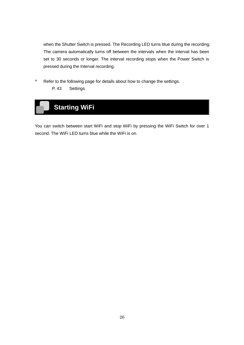<span id="page-25-0"></span>when the Shutter Switch is pressed. The Recording LED turns blue during the recording. The camera automatically turns off between the intervals when the interval has been set to 30 seconds or longer. The interval recording stops when the Power Switch is pressed during the Interval recording.

\* Refer to the following page for details about how to change the settings. P. [43](#page-42-0) [Settings](#page-42-0)



You can switch between start WiFi and stop WiFi by pressing the WiFi Switch for over 1 second. The WiFi LED turns blue while the WiFi is on.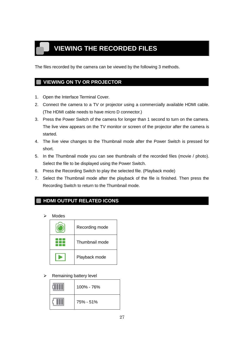# <span id="page-26-0"></span>**VIEWING THE RECORDED FILES**

The files recorded by the camera can be viewed by the following 3 methods.

#### <span id="page-26-1"></span>**VIEWING ON TV OR PROJECTOR**

- 1. Open the Interface Terminal Cover.
- 2. Connect the camera to a TV or projector using a commercially available HDMI cable. (The HDMI cable needs to have micro D connector.)
- 3. Press the Power Switch of the camera for longer than 1 second to turn on the camera. The live view appears on the TV monitor or screen of the projector after the camera is started.
- 4. The live view changes to the Thumbnail mode after the Power Switch is pressed for short.
- 5. In the Thumbnail mode you can see thumbnails of the recorded files (movie / photo). Select the file to be displayed using the Power Switch.
- 6. Press the Recording Switch to play the selected file. (Playback mode)
- 7. Select the Thumbnail mode after the playback of the file is finished. Then press the Recording Switch to return to the Thumbnail mode.

#### <span id="page-26-2"></span>**HDMI OUTPUT RELATED ICONS**

Modes

| Recording mode |  |
|----------------|--|
| Thumbnail mode |  |
| Playback mode  |  |

 $\triangleright$  Remaining battery level

|  | 100% - 76% |
|--|------------|
|  | 75% - 51%  |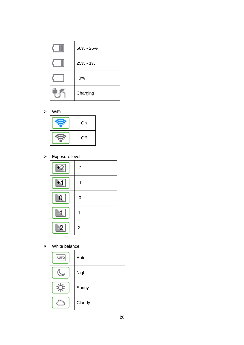| 50% - 26% |
|-----------|
| 25% - 1%  |
| 0%        |
| Charging  |

WiFi

| On  |
|-----|
| Off |

Exposure level

| E | $+2$      |
|---|-----------|
|   | $+1$      |
|   | $\pmb{0}$ |
|   | -1        |
|   | $-2$      |

 $\triangleright$  White balance

| <b>AUTO</b> | Auto   |
|-------------|--------|
|             | Night  |
|             | Sunny  |
|             | Cloudy |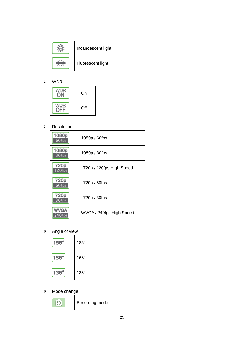| Incandescent light |
|--------------------|
| Fluorescent light  |

#### WDR

| On  |
|-----|
| Off |

#### > Resolution

| 1080p<br>$60$ fps          | 1080p / 60fps            |
|----------------------------|--------------------------|
| 1080p<br>30 fps            | 1080p / 30fps            |
| 720p<br>120 fps            | 720p / 120fps High Speed |
| 720p<br>60 fps             | 720p / 60fps             |
| 720 <sub>p</sub><br>30 fps | 720p / 30fps             |
| <b>WVGA</b>                | WVGA / 240fps High Speed |

#### $\triangleright$  Angle of view

| $185^\circ$ | $185^\circ$ |
|-------------|-------------|
| $165^\circ$ | $165^\circ$ |
| $135^\circ$ | $135^\circ$ |

#### $\triangleright$  Mode change

| Recording mode |  |
|----------------|--|
|----------------|--|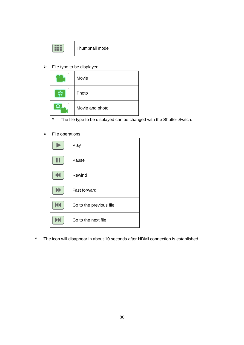|  | Thumbnail mode |
|--|----------------|
|--|----------------|

 $\triangleright$  File type to be displayed

| Movie           |
|-----------------|
| Photo           |
| Movie and photo |

- \* The file type to be displayed can be changed with the Shutter Switch.
- $\triangleright$  File operations

| Play                    |
|-------------------------|
| Pause                   |
| Rewind                  |
| Fast forward            |
| Go to the previous file |
| Go to the next file     |

\* The icon will disappear in about 10 seconds after HDMI connection is established.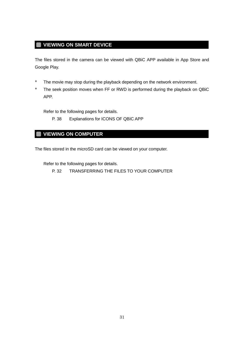#### <span id="page-30-0"></span>**VIEWING ON SMART DEVICE**

The files stored in the camera can be viewed with QBiC APP available in App Store and Google Play.

- \* The movie may stop during the playback depending on the network environment.
- \* The seek position moves when FF or RWD is performed during the playback on QBiC APP.

Refer to the following pages for details.

P. [38](#page-37-0) Explanations for [ICONS OF QBIC APP](#page-37-0)

#### <span id="page-30-1"></span>**VIEWING ON COMPUTER**

The files stored in the microSD card can be viewed on your computer.

Refer to the following pages for details.

P. [32](#page-31-0) [TRANSFERRING THE FILES TO YOUR COMPUTER](#page-31-0)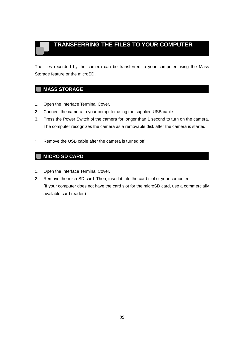## <span id="page-31-0"></span>**TRANSFERRING THE FILES TO YOUR COMPUTER**

The files recorded by the camera can be transferred to your computer using the Mass Storage feature or the microSD.

#### <span id="page-31-1"></span>**MASS STORAGE**

- 1. Open the Interface Terminal Cover.
- 2. Connect the camera to your computer using the supplied USB cable.
- 3. Press the Power Switch of the camera for longer than 1 second to turn on the camera. The computer recognizes the camera as a removable disk after the camera is started.
- \* Remove the USB cable after the camera is turned off.

#### <span id="page-31-2"></span>**MICRO SD CARD**

- 1. Open the Interface Terminal Cover.
- 2. Remove the microSD card. Then, insert it into the card slot of your computer. (If your computer does not have the card slot for the microSD card, use a commercially available card reader.)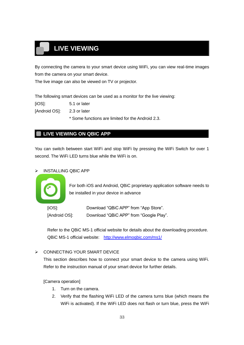# <span id="page-32-0"></span>**LIVE VIEWING**

By connecting the camera to your smart device using WiFi, you can view real-time images from the camera on your smart device.

The live image can also be viewed on TV or projector.

The following smart devices can be used as a monitor for the live viewing:

[iOS]: 5.1 or later

[Android OS]: 2.3 or later

\* Some functions are limited for the Android 2.3.

#### <span id="page-32-1"></span>**LIVE VIEWING ON QBIC APP**

You can switch between start WiFi and stop WiFi by pressing the WiFi Switch for over 1 second. The WiFi LED turns blue while the WiFi is on.

#### INSTALLING QBIC APP



For both iOS and Android, QBiC proprietary application software needs to be installed in your device in advance

[iOS]: Download "QBiC APP" from "App Store". [Android OS]: Download "QBiC APP" from "Google Play".

Refer to the QBiC MS-1 official website for details about the downloading procedure. QBiC MS-1 official website: <http://www.elmoqbic.com/ms1/>

#### CONNECTING YOUR SMART DEVICE

This section describes how to connect your smart device to the camera using WiFi. Refer to the instruction manual of your smart device for further details.

#### [Camera operation]

- 1. Turn on the camera.
- 2. Verify that the flashing WiFi LED of the camera turns blue (which means the WiFi is activated). If the WiFi LED does not flash or turn blue, press the WiFi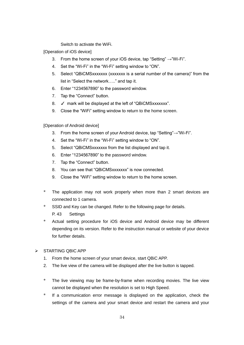Switch to activate the WiFi.

[Operation of iOS device]

- 3. From the home screen of your iOS device, tap "Setting"  $\rightarrow$  "Wi-Fi".
- 4. Set the "Wi-Fi" in the "Wi-Fi" setting window to "ON".
- 5. Select "QBiCMSxxxxxxx (xxxxxxx is a serial number of the camera)" from the list in "Select the network….." and tap it.
- 6. Enter "1234567890" to the password window.
- 7. Tap the "Connect" button.
- 8. ✓ mark will be displayed at the left of "QBiCMSxxxxxxx".
- 9. Close the "WiFi" setting window to return to the home screen.

[Operation of Android device]

- 3. From the home screen of your Android device, tap "Setting"→"Wi-Fi".
- 4. Set the "Wi-Fi" in the "Wi-Fi" setting window to "ON".
- 5. Select "QBiCMSxxxxxxx from the list displayed and tap it.
- 6. Enter "1234567890" to the password window.
- 7. Tap the "Connect" button.
- 8. You can see that "QBICMSxxxxxxx" is now connected.
- 9. Close the "WiFi" setting window to return to the home screen.
- \* The application may not work properly when more than 2 smart devices are connected to 1 camera.
- SSID and Key can be changed. Refer to the following page for details. P. [43](#page-42-0) [Settings](#page-42-0)
- Actual setting procedure for iOS device and Android device may be different depending on its version. Refer to the instruction manual or website of your device for further details.

#### $\triangleright$  STARTING QBIC APP

- 1. From the home screen of your smart device, start QBiC APP.
- 2. The live view of the camera will be displayed after the live button is tapped.
- \* The live viewing may be frame-by-frame when recording movies. The live view cannot be displayed when the resolution is set to High Speed.
- If a communication error message is displayed on the application, check the settings of the camera and your smart device and restart the camera and your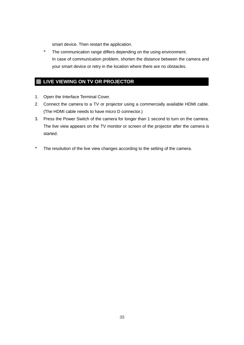smart device. Then restart the application.

<span id="page-34-0"></span>\* The communication range differs depending on the using environment. In case of communication problem, shorten the distance between the camera and your smart device or retry in the location where there are no obstacles.

#### **LIVE VIEWING ON TV OR PROJECTOR** ٠

- 1. Open the Interface Terminal Cover.
- 2. Connect the camera to a TV or projector using a commercially available HDMI cable. (The HDMI cable needs to have micro D connector.)
- 3. Press the Power Switch of the camera for longer than 1 second to turn on the camera. The live view appears on the TV monitor or screen of the projector after the camera is started.
- \* The resolution of the live view changes according to the setting of the camera.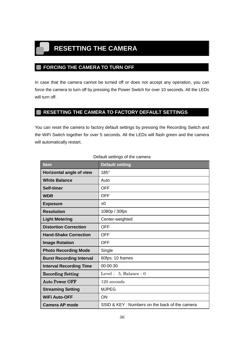## <span id="page-35-0"></span>**RESETTING THE CAMERA**

#### <span id="page-35-1"></span>**FORCING THE CAMERA TO TURN OFF**

In case that the camera cannot be turned off or does not accept any operation, you can force the camera to turn off by pressing the Power Switch for over 10 seconds. All the LEDs will turn off.

#### <span id="page-35-2"></span>**RESETTING THE CAMERA TO FACTORY DEFAULT SETTINGS**

You can reset the camera to factory default settings by pressing the Recording Switch and the WiFi Switch together for over 5 seconds. All the LEDs will flash green and the camera will automatically restart.

| <b>Item</b>                     | <b>Default setting</b>                        |
|---------------------------------|-----------------------------------------------|
| Horizontal angle of view        | $185^\circ$                                   |
| <b>White Balance</b>            | Auto                                          |
| Self-timer                      | <b>OFF</b>                                    |
| <b>WDR</b>                      | <b>OFF</b>                                    |
| <b>Exposure</b>                 | ±0                                            |
| <b>Resolution</b>               | 1080p / 30fps                                 |
| <b>Light Metering</b>           | Center-weighted                               |
| <b>Distortion Correction</b>    | <b>OFF</b>                                    |
| <b>Hand-Shake Correction</b>    | <b>OFF</b>                                    |
| <b>Image Rotation</b>           | <b>OFF</b>                                    |
| <b>Photo Recording Mode</b>     | Single                                        |
| <b>Burst Recording Interval</b> | 60fps: 10 frames                              |
| <b>Interval Recording Time</b>  | 00:00:30                                      |
| <b>Recording Setting</b>        | Level: $5$ , Balance: 0                       |
| <b>Auto Power OFF</b>           | 120 seconds                                   |
| <b>Streaming Setting</b>        | <b>MJPEG</b>                                  |
| <b>WiFi Auto-OFF</b>            | <b>ON</b>                                     |
| <b>Camera AP mode</b>           | SSID & KEY: Numbers on the back of the camera |

#### Default settings of the camera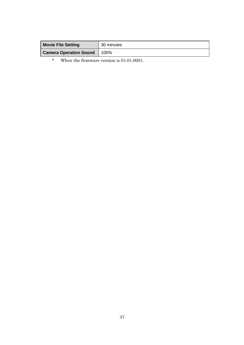| <b>Movie File Setting</b>     | 30 minutes |
|-------------------------------|------------|
| <b>Camera Operation Sound</b> | 100%       |
|                               |            |

\* When the firmware version is 01.01.0001.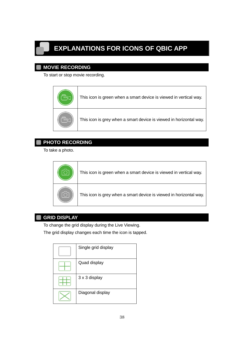# <span id="page-37-0"></span>**EXPLANATIONS FOR ICONS OF QBIC APP**

#### <span id="page-37-1"></span>**MOVIE RECORDING**

To start or stop movie recording.

| This icon is green when a smart device is viewed in vertical way.  |
|--------------------------------------------------------------------|
| This icon is grey when a smart device is viewed in horizontal way. |

#### <span id="page-37-2"></span>**PHOTO RECORDING**

To take a photo.

| This icon is green when a smart device is viewed in vertical way.  |
|--------------------------------------------------------------------|
| This icon is grey when a smart device is viewed in horizontal way. |

#### <span id="page-37-3"></span>**GRID DISPLAY**

To change the grid display during the Live Viewing.

The grid display changes each time the icon is tapped.

| Single grid display |
|---------------------|
| Quad display        |
| 3 x 3 display       |
| Diagonal display    |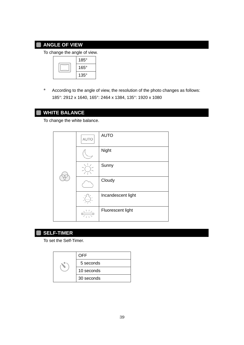#### **ANGLE OF VIEW**

<span id="page-38-0"></span>٠

To change the angle of view.

| $185^\circ$ |
|-------------|
| $165^\circ$ |
| $135^\circ$ |

\* According to the angle of view, the resolution of the photo changes as follows: 185°: 2912 x 1640, 165°: 2464 x 1384, 135°: 1920 x 1080

#### <span id="page-38-1"></span>**WHITE BALANCE**

To change the white balance.

|  | AUTO | <b>AUTO</b>        |
|--|------|--------------------|
|  |      | Night              |
|  |      | Sunny              |
|  |      | Cloudy             |
|  |      | Incandescent light |
|  |      | Fluorescent light  |

<span id="page-38-2"></span>

#### **SELF-TIMER**

To set the Self-Timer.

|  | OFF        |
|--|------------|
|  | 5 seconds  |
|  | 10 seconds |
|  | 30 seconds |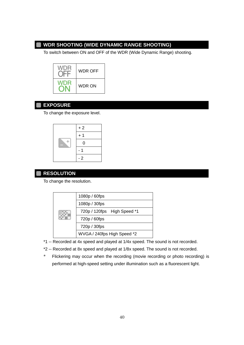#### <span id="page-39-0"></span>**WDR SHOOTING (WIDE DYNAMIC RANGE SHOOTING)**

To switch between ON and OFF of the WDR (Wide Dynamic Range) shooting.



#### <span id="page-39-1"></span>**EXPOSURE**

To change the exposure level.

|  | $+2$        |
|--|-------------|
|  | $+1$        |
|  | $\mathbf 0$ |
|  |             |
|  | $-2$        |

#### <span id="page-39-2"></span>**RESOLUTION**

To change the resolution.

| 1080p / 60fps               |
|-----------------------------|
| 1080p / 30fps               |
| 720p / 120fps High Speed *1 |
| 720p / 60fps                |
| 720p / 30fps                |
| WVGA / 240fps High Speed *2 |

- \*1 -- Recorded at 4x speed and played at 1/4x speed. The sound is not recorded.
- \*2 -- Recorded at 8x speed and played at 1/8x speed. The sound is not recorded.
- \* Flickering may occur when the recording (movie recording or photo recording) is performed at high-speed setting under illumination such as a fluorescent light.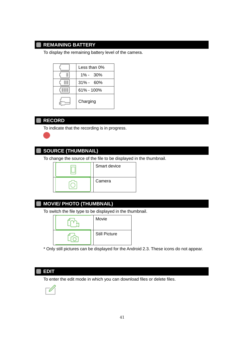#### <span id="page-40-0"></span>**REMAINING BATTERY**

To display the remaining battery level of the camera.

| Less than 0%  |
|---------------|
| $1\% - 30\%$  |
| $31\% - 60\%$ |
| 61% - 100%    |
| Charging      |

#### <span id="page-40-1"></span>**RECORD**

To indicate that the recording is in progress.

#### <span id="page-40-2"></span>**SOURCE (THUMBNAIL)**

To change the source of the file to be displayed in the thumbnail.



#### <span id="page-40-3"></span>**MOVIE/ PHOTO (THUMBNAIL)**

To switch the file type to be displayed in the thumbnail.



\* Only still pictures can be displayed for the Android 2.3. These icons do not appear.

#### <span id="page-40-4"></span>**EDIT**

To enter the edit mode in which you can download files or delete files.

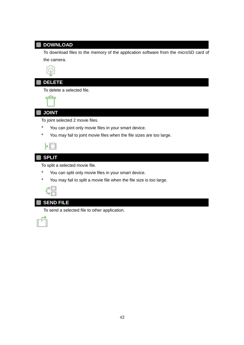#### <span id="page-41-0"></span>**DOWNLOAD**

To download files to the memory of the application software from the microSD card of the camera.



#### <span id="page-41-1"></span>**DELETE**

To delete a selected file.



#### <span id="page-41-2"></span>**JOINT**

To joint selected 2 movie files.

- \* You can joint only movie files in your smart device.
- \* You may fail to joint movie files when the file sizes are too large.

| ______<br>____ |  |
|----------------|--|
|                |  |
|                |  |
|                |  |
|                |  |

#### <span id="page-41-3"></span>**SPLIT**

To split a selected movie file.

- \* You can split only movie files in your smart device.
- \* You may fail to split a movie file when the file size is too large.

| ____ |  |
|------|--|
|      |  |
|      |  |
|      |  |

#### <span id="page-41-4"></span>**SEND FILE**

To send a selected file to other application.

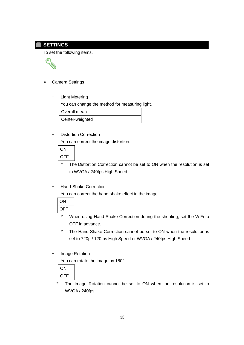#### <span id="page-42-0"></span>**SETTINGS**

To set the following items.



#### **▶ Camera Settings**

Light Metering

You can change the method for measuring light.

Overall mean

Center-weighted

#### Distortion Correction

You can correct the image distortion.

| ( )r |  |
|------|--|
| OFF  |  |
|      |  |

- \* The Distortion Correction cannot be set to ON when the resolution is set to WVGA / 240fps High Speed.
- Hand-Shake Correction

You can correct the hand-shake effect in the image.

| F<br>É |
|--------|

- \* When using Hand-Shake Correction during the shooting, set the WiFi to OFF in advance.
- \* The Hand-Shake Correction cannot be set to ON when the resolution is set to 720p / 120fps High Speed or WVGA / 240fps High Speed.
- Image Rotation

You can rotate the image by 180°



\* The Image Rotation cannot be set to ON when the resolution is set to WVGA / 240fps.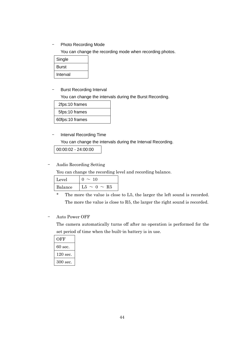- Photo Recording Mode

You can change the recording mode when recording photos.

| Single   |  |
|----------|--|
| Burst    |  |
| Interval |  |

‒ Burst Recording Interval

You can change the intervals during the Burst Recording.

| 2fps:10 frames  |  |
|-----------------|--|
| 5fps:10 frames  |  |
| 60fps:10 frames |  |

#### ‒ Interval Recording Time

You can change the intervals during the Interval Recording.

00:00:02 - 24:00:00

#### ‒ Audio Recording Setting

You can change the recording level and recording balance.

| Level   | 10                      |
|---------|-------------------------|
| Balance | $\sim 0 \sim R5$<br>L5. |

\* The more the value is close to L5, the larger the left sound is recorded. The more the value is close to R5, the larger the right sound is recorded.

#### ‒ Auto Power OFF

The camera automatically turns off after no operation is performed for the set period of time when the built-in battery is in use.

| OFF      |
|----------|
| 60 sec.  |
| 120 sec. |
| 300 sec. |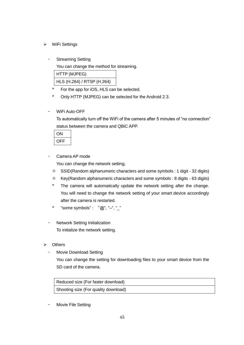- WiFi Settings
	- ‒ Streaming Setting

You can change the method for streaming.

| HTTP (MJPEG)               |  |
|----------------------------|--|
| HLS (H.264) / RTSP (H.264) |  |

- \* For the app for iOS, HLS can be selected.
- \* Only HTTP (MJPEG) can be selected for the Android 2.3.
- ‒ WiFi Auto-OFF

To automatically turn off the WiFi of the camera after 5 minutes of "no connection" status between the camera and QBiC APP.

| ۴۱<br>⊢ |
|---------|

‒ Camera AP mode

You can change the network setting.

- $\diamond$  SSID(Random alphanumeric characters and some symbols : 1 digit 32 digits)
- $\div$  Key(Random alphanumeric characters and some symbols : 8 digits 63 digits)
- The camera will automatically update the network setting after the change. You will need to change the network setting of your smart device accordingly after the camera is restarted.
- \* "some symbols":  $"@", "-", "$
- ‒ Network Setting Initialization To initialize the network setting.
- **▶** Others
	- ‒ Movie Download Setting You can change the setting for downloading files to your smart device from the SD card of the camera.

Reduced size (For faster download) Shooting size (For quality download)

‒ Movie File Setting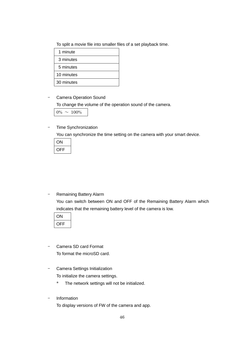To split a movie file into smaller files of a set playback time.

| 1 minute   |
|------------|
| 3 minutes  |
| 5 minutes  |
| 10 minutes |
| 30 minutes |

‒ Camera Operation Sound

To change the volume of the operation sound of the camera.

 $0\% \sim 100\%$ 

‒ Time Synchronization

You can synchronize the time setting on the camera with your smart device.

| ON  |  |
|-----|--|
| OFF |  |

‒ Remaining Battery Alarm You can switch between ON and OFF of the Remaining Battery Alarm which indicates that the remaining battery level of the camera is low.

| F |  |
|---|--|

- ‒ Camera SD card Format To format the microSD card.
- ‒ Camera Settings Initialization To initialize the camera settings.
	- \* The network settings will not be initialized.
- **Information**

To display versions of FW of the camera and app.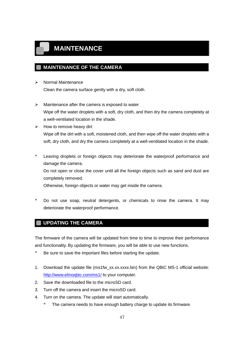## <span id="page-46-0"></span>**MAINTENANCE**

#### <span id="page-46-1"></span>**MAINTENANCE OF THE CAMERA**

- > Normal Maintenance Clean the camera surface gently with a dry, soft cloth.
- $\triangleright$  Maintenance after the camera is exposed to water Wipe off the water droplets with a soft, dry cloth, and then dry the camera completely at a well-ventilated location in the shade.
- $\triangleright$  How to remove heavy dirt Wipe off the dirt with a soft, moistened cloth, and then wipe off the water droplets with a soft, dry cloth, and dry the camera completely at a well-ventilated location in the shade.
- \* Leaving droplets or foreign objects may deteriorate the waterproof performance and damage the camera. Do not open or close the cover until all the foreign objects such as sand and dust are completely removed. Otherwise, foreign objects or water may get inside the camera.
- \* Do not use soap, neutral detergents, or chemicals to rinse the camera. It may

#### <span id="page-46-2"></span>**UPDATING THE CAMERA**

deteriorate the waterproof performance.

The firmware of the camera will be updated from time to time to improve their performance and functionality. By updating the firmware, you will be able to use new functions.

- \* Be sure to save the important files before starting the update.
- 1. Download the update file (ms1fw\_xx.xx.xxxx.bin) from the QBiC MS-1 official website: <http://www.elmoqbic.com/ms1/> to your computer.
- 2. Save the downloaded file to the microSD card.
- 3. Turn off the camera and insert the microSD card.
- 4. Turn on the camera. The update will start automatically.
	- The camera needs to have enough battery charge to update its firmware.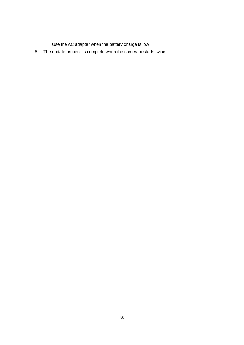Use the AC adapter when the battery charge is low.

5. The update process is complete when the camera restarts twice.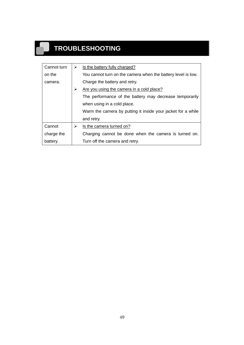# **TROUBLESHOOTING**

<span id="page-48-0"></span>ш.

| Cannot turn | ➤ | Is the battery fully charged?                                |
|-------------|---|--------------------------------------------------------------|
| on the      |   | You cannot turn on the camera when the battery level is low. |
| camera.     |   | Charge the battery and retry.                                |
|             | ≻ | Are you using the camera in a cold place?                    |
|             |   | The performance of the battery may decrease temporarily      |
|             |   | when using in a cold place.                                  |
|             |   | Warm the camera by putting it inside your jacket for a while |
|             |   | and retry.                                                   |
| Cannot      | ➤ | Is the camera turned on?                                     |
| charge the  |   | Charging cannot be done when the camera is turned on.        |
| battery.    |   | Turn off the camera and retry.                               |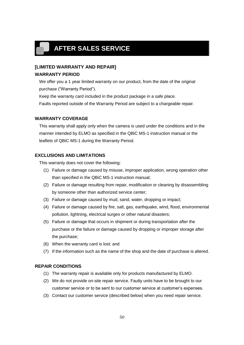## <span id="page-49-0"></span>**AFTER SALES SERVICE**

## **[LIMITED WARRANTY AND REPAIR]**

#### **WARRANTY PERIOD**

We offer you a 1 year limited warranty on our product, from the date of the original purchase ("Warranty Period").

Keep the warranty card included in the product package in a safe place.

Faults reported outside of the Warranty Period are subject to a chargeable repair.

#### **WARRANTY COVERAGE**

This warranty shall apply only when the camera is used under the conditions and in the manner intended by ELMO as specified in the QBiC MS-1 instruction manual or the leaflets of QBiC MS-1 during the Warranty Period.

#### **EXCLUSIONS AND LIMITATIONS**

This warranty does not cover the following:

- (1) Failure or damage caused by misuse, improper application, wrong operation other than specified in the QBiC MS-1 instruction manual;
- (2) Failure or damage resulting from repair, modification or cleaning by disassembling by someone other than authorized service center;
- (3) Failure or damage caused by mud, sand, water, dropping or impact;
- (4) Failure or damage caused by fire, salt, gas, earthquake, wind, flood, environmental pollution, lightning, electrical surges or other natural disasters;
- (5) Failure or damage that occurs in shipment or during transportation after the purchase or the failure or damage caused by dropping or improper storage after the purchase;
- (6) When the warranty card is lost; and
- (7) If the information such as the name of the shop and the date of purchase is altered.

#### **REPAIR CONDITIONS**

- (1) The warranty repair is available only for products manufactured by ELMO.
- (2) We do not provide on-site repair service. Faulty units have to be brought to our customer service or to be sent to our customer service at customer's expenses.
- (3) Contact our customer service (described below) when you need repair service.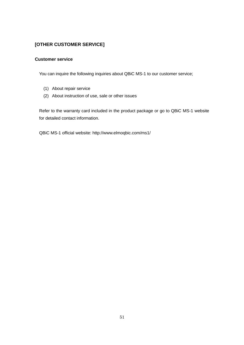#### **[OTHER CUSTOMER SERVICE]**

#### **Customer service**

You can inquire the following inquiries about QBiC MS-1 to our customer service;

- (1) About repair service
- (2) About instruction of use, sale or other issues

Refer to the warranty card included in the product package or go to QBiC MS-1 website for detailed contact information.

QBiC MS-1 official website: http://www.elmoqbic.com/ms1/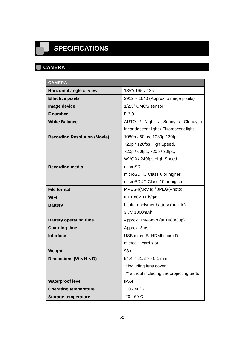# <span id="page-51-0"></span>**SPECIFICATIONS**

#### <span id="page-51-1"></span>**CAMERA**  $\blacksquare$

| <b>CAMERA</b>                        |                                            |
|--------------------------------------|--------------------------------------------|
| Horizontal angle of view             | 185°/165°/135°                             |
| <b>Effective pixels</b>              | 2912 $\times$ 1640 (Approx. 5 mega pixels) |
| Image device                         | 1/2.3" CMOS sensor                         |
| <b>F</b> number                      | F <sub>2.0</sub>                           |
| <b>White Balance</b>                 | AUTO / Night / Sunny / Cloudy /            |
|                                      | Incandescent light / Fluorescent light     |
| <b>Recording Resolution (Movie)</b>  | 1080p / 60fps, 1080p / 30fps,              |
|                                      | 720p / 120fps High Speed,                  |
|                                      | 720p / 60fps, 720p / 30fps,                |
|                                      | WVGA / 240fps High Speed                   |
| <b>Recording media</b>               | microSD                                    |
|                                      | microSDHC Class 6 or higher                |
|                                      | microSDXC Class 10 or higher               |
| <b>File format</b>                   | MPEG4(Movie) / JPEG(Photo)                 |
| WiFi                                 | IEEE802.11 b/g/n                           |
| <b>Battery</b>                       | Lithium-polymer battery (built-in)         |
|                                      | 3.7V 1000mAh                               |
| <b>Battery operating time</b>        | Approx. 1hr45min (at 1080/30p)             |
| <b>Charging time</b>                 | Approx. 3hrs                               |
| <b>Interface</b>                     | USB micro B, HDMI micro D                  |
|                                      | microSD card slot                          |
| Weight                               | 93 g                                       |
| Dimensions (W $\times$ H $\times$ D) | $54.4 \times 61.2 \times 40.1$ mm          |
|                                      | *including lens cover                      |
|                                      | **without including the projecting parts   |
| <b>Waterproof level</b>              | IPX4                                       |
| <b>Operating temperature</b>         | $0 - 40^{\circ}C$                          |
| <b>Storage temperature</b>           | $-20 - 60^{\circ}C$                        |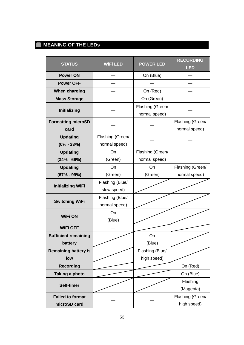## <span id="page-52-0"></span>**MEANING OF THE LEDs**

| <b>STATUS</b>                           | <b>WiFi LED</b>                   | <b>POWER LED</b>                  | <b>RECORDING</b><br><b>LED</b>    |
|-----------------------------------------|-----------------------------------|-----------------------------------|-----------------------------------|
| <b>Power ON</b>                         |                                   | On (Blue)                         |                                   |
| <b>Power OFF</b>                        |                                   |                                   |                                   |
| When charging                           |                                   | On (Red)                          |                                   |
| <b>Mass Storage</b>                     |                                   | On (Green)                        |                                   |
| Initializing                            |                                   | Flashing (Green/<br>normal speed) |                                   |
| <b>Formatting microSD</b><br>card       |                                   |                                   | Flashing (Green/<br>normal speed) |
| <b>Updating</b><br>$(0\% - 33\%)$       | Flashing (Green/<br>normal speed) |                                   |                                   |
| <b>Updating</b><br>$(34\% - 66\%)$      | On<br>(Green)                     | Flashing (Green/<br>normal speed) |                                   |
| <b>Updating</b>                         | On                                | On                                |                                   |
| $(67% - 99%)$                           | (Green)<br>(Green)                |                                   | normal speed)                     |
| <b>Initializing WiFi</b>                | Flashing (Blue/<br>slow speed)    |                                   |                                   |
| <b>Switching WiFi</b>                   | Flashing (Blue/<br>normal speed)  |                                   |                                   |
| <b>WiFi ON</b>                          | On<br>(Blue)                      |                                   |                                   |
| <b>WiFi OFF</b>                         |                                   |                                   |                                   |
| <b>Sufficient remaining</b><br>battery  |                                   | On<br>(Blue)                      |                                   |
| <b>Remaining battery is</b><br>low      |                                   | Flashing (Blue/<br>high speed)    |                                   |
| <b>Recording</b>                        |                                   |                                   | On (Red)                          |
| <b>Taking a photo</b>                   |                                   |                                   | On (Blue)                         |
| <b>Self-timer</b>                       |                                   |                                   | Flashing<br>(Magenta)             |
| <b>Failed to format</b><br>microSD card |                                   |                                   | Flashing (Green/<br>high speed)   |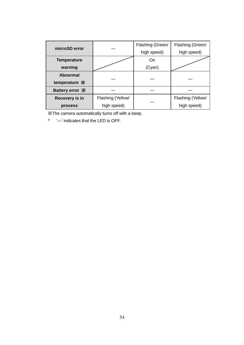| microSD error                       |                   | Flashing (Green/ | Flashing (Green/  |
|-------------------------------------|-------------------|------------------|-------------------|
|                                     |                   | high speed)      | high speed)       |
| <b>Temperature</b>                  |                   | On               |                   |
| warning                             |                   | (Cyan)           |                   |
| Abnormal                            |                   |                  |                   |
| temperature *                       |                   |                  |                   |
| Battery error $\mathbb{\mathsf{X}}$ |                   |                  |                   |
| <b>Recovery is in</b>               | Flashing (Yellow/ |                  | Flashing (Yellow/ |
| process                             | high speed)       |                  | high speed)       |

※The camera automatically turns off with a beep.

\* '―' indicates that the LED is OFF.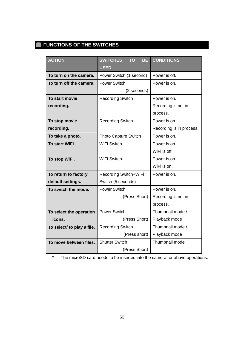## <span id="page-54-0"></span>**FUNCTIONS OF THE SWITCHES**

| <b>ACTION</b>              | <b>SWITCHES</b><br><b>TO</b><br><b>BE</b><br><b>USED</b> | <b>CONDITIONS</b>        |
|----------------------------|----------------------------------------------------------|--------------------------|
| To turn on the camera.     | Power Switch (1 second)                                  | Power is off.            |
| To turn off the camera.    | <b>Power Switch</b>                                      | Power is on.             |
|                            | (2 seconds)                                              |                          |
| To start movie             | <b>Recording Switch</b>                                  | Power is on.             |
| recording.                 |                                                          | Recording is not in      |
|                            |                                                          | process.                 |
| To stop movie              | <b>Recording Switch</b>                                  | Power is on.             |
| recording.                 |                                                          | Recording is in process. |
| To take a photo.           | Photo Capture Switch                                     | Power is on.             |
| To start WiFi.             | <b>WiFi Switch</b>                                       | Power is on.             |
|                            |                                                          | WiFi is off.             |
| To stop WiFi.              | WiFi Switch                                              | Power is on.             |
|                            |                                                          | WiFi is on.              |
| To return to factory       | Recording Switch+WiFi                                    | Power is on.             |
| default settings.          | Switch (5 seconds)                                       |                          |
| To switch the mode.        | <b>Power Switch</b>                                      | Power is on.             |
|                            | (Press Short)                                            | Recording is not in      |
|                            |                                                          | process.                 |
| To select the operation    | <b>Power Switch</b>                                      | Thumbnail mode /         |
| icons.                     | (Press Short)                                            | Playback mode            |
| To select/ to play a file. | <b>Recording Switch</b>                                  | Thumbnail mode /         |
|                            | (Press short)                                            | Playback mode            |
| To move between files.     | <b>Shutter Switch</b>                                    | Thumbnail mode           |
|                            | (Press Short)                                            |                          |

\* The microSD card needs to be inserted into the camera for above operations.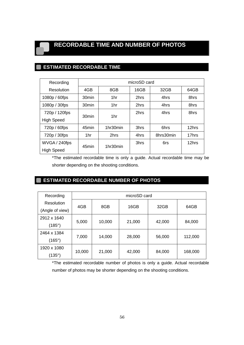## <span id="page-55-0"></span>**RECORDABLE TIME AND NUMBER OF PHOTOS**

## <span id="page-55-1"></span>**ESTIMATED RECORDABLE TIME**

| Recording         | microSD card      |          |      |           |       |
|-------------------|-------------------|----------|------|-----------|-------|
| Resolution        | 4GB               | 8GB      | 16GB | 32GB      | 64GB  |
| 1080p / 60fps     | 30 <sub>min</sub> | 1hr      | 2hrs | 4hrs      | 8hrs  |
| 1080p / 30fps     | 30 <sub>min</sub> | 1hr      | 2hrs | 4hrs      | 8hrs  |
| 720p / 120fps     | 30 <sub>min</sub> | 1hr      | 2hrs | 4hrs      | 8hrs  |
| <b>High Speed</b> |                   |          |      |           |       |
| 720p / 60fps      | 45min             | 1hr30min | 3hrs | 6hrs      | 12hrs |
| 720p / 30fps      | 1hr               | 2hrs     | 4hrs | 8hrs30min | 17hrs |
| WVGA / 240fps     | 45min             | 1hr30min | 3hrs | 6rs       | 12hrs |
| <b>High Speed</b> |                   |          |      |           |       |

\*The estimated recordable time is only a guide. Actual recordable time may be shorter depending on the shooting conditions.

#### <span id="page-55-2"></span>**ESTIMATED RECORDABLE NUMBER OF PHOTOS**

| Recording       | microSD card |        |        |        |         |
|-----------------|--------------|--------|--------|--------|---------|
| Resolution      | 4GB          | 8GB    | 16GB   | 32GB   | 64GB    |
| (Angle of view) |              |        |        |        |         |
| 2912 x 1640     |              |        |        |        |         |
| $(185^\circ)$   | 5,000        | 10,000 | 21,000 | 42,000 | 84,000  |
| 2464 x 1384     |              |        |        |        |         |
| (165°)          | 7,000        | 14,000 | 28,000 | 56,000 | 112,000 |
| 1920 x 1080     |              |        |        |        |         |
| (135°)          | 10,000       | 21,000 | 42,000 | 84,000 | 168,000 |

\*The estimated recordable number of photos is only a guide. Actual recordable number of photos may be shorter depending on the shooting conditions.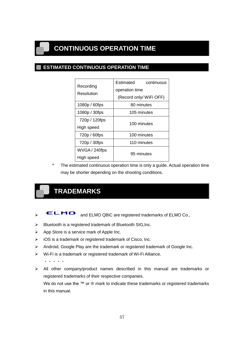## <span id="page-56-1"></span><span id="page-56-0"></span>**CONTINUOUS OPERATION TIME**

#### **ESTIMATED CONTINUOUS OPERATION TIME**

| Recording     | Estimated<br>continuous<br>operation time |
|---------------|-------------------------------------------|
| Resolution    | (Record only/ WiFi OFF)                   |
| 1080p / 60fps | 80 minutes                                |
| 1080p / 30fps | 105 minutes                               |
| 720p / 120fps | 100 minutes                               |
| High speed    |                                           |
| 720p / 60fps  | 100 minutes                               |
| 720p / 30fps  | 110 minutes                               |
| WVGA / 240fps | 95 minutes                                |
| High speed    |                                           |

\* The estimated continuous operation time is only a guide. Actual operation time may be shorter depending on the shooting conditions.

## <span id="page-56-2"></span>**TRADEMARKS**

- ELMO and ELMO QBiC are registered trademarks of ELMO Co.,
- $\triangleright$  Bluetooth is a registered trademark of Bluetooth SIG, Inc.
- $\triangleright$  App Store is a service mark of Apple Inc.
- $\triangleright$  iOS is a trademark or registered trademark of Cisco, Inc.
- Android, Google Play are the trademark or registered trademark of Google Inc.
- Wi-Fi is a trademark or registered trademark of Wi-Fi Alliance.

・・・・・

 $\triangleright$  All other company/product names described in this manual are trademarks or registered trademarks of their respective companies.

We do not use the ™ or ® mark to indicate these trademarks or registered trademarks in this manual.